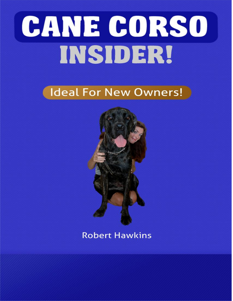# CANE CORSO INSIDER!

## Ideal For New Owners!



## **Robert Hawkins**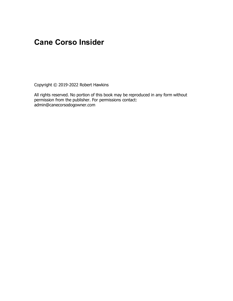## **Cane Corso Insider**

Copyright © 2019-2022 Robert Hawkins

All rights reserved. No portion of this book may be reproduced in any form without permission from the publisher. For permissions contact: admin@canecorsodogowner.com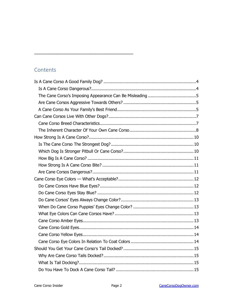#### **Contents**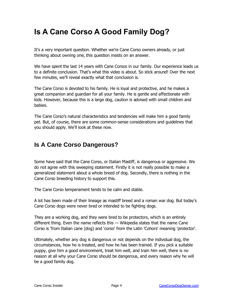## <span id="page-4-0"></span>**Is A Cane Corso A Good Family Dog?**

It's a very important question. Whether we're Cane Corso owners already, or just thinking about owning one, this question insists on an answer.

We have spent the last 14 years with Cane Corsos in our family. Our experience leads us to a definite conclusion. That's what this video is about. So stick around! Over the next few minutes, we'll reveal exactly what that conclusion is.

The Cane Corso is devoted to his family. He is loyal and protective, and he makes a great companion and guardian for all your family. He is gentle and affectionate with kids. However, because this is a large dog, caution is advised with small children and babies.

The Cane Corso's natural characteristics and tendencies will make him a good family pet. But, of course, there are some common-sense considerations and guidelines that you should apply. We'll look at these now.

#### <span id="page-4-1"></span>**Is A Cane Corso Dangerous?**

Some have said that the Cane Corso, or Italian Mastiff, is dangerous or aggressive. We do not agree with this sweeping statement. Firstly it is not really possible to make a generalized statement about a whole breed of dog. Secondly, there is nothing in the Cane Corso breeding history to support this.

The Cane Corso temperament tends to be calm and stable.

A lot has been made of their lineage as mastiff breed and a roman war dog. But today's Cane Corso dogs were never bred or intended to be fighting dogs.

They are a working dog, and they were bred to be protectors, which is an entirely different thing. Even the name reflects this — Wikipedia states that the name Cane Corso is 'from Italian cane (dog) and 'corso' from the Latin 'Cohors' meaning 'protector'.

Ultimately, whether any dog is dangerous or not depends on the individual dog, the circumstances, how he is treated, and how he has been trained. If you pick a suitable puppy, give him a good environment, treat him well, and train him well, there is no reason at all why your Cane Corso should be dangerous, and every reason why he will be a good family dog.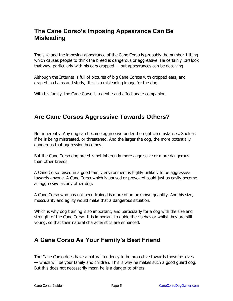#### <span id="page-5-0"></span>**The Cane Corso's Imposing Appearance Can Be Misleading**

The size and the imposing appearance of the Cane Corso is probably the number 1 thing which causes people to think the breed is dangerous or aggressive. He certainly *can* look that way, particularly with his ears cropped — but appearances can be deceiving.

Although the Internet is full of pictures of big Cane Corsos with cropped ears, and draped in chains and studs, this is a misleading image for the dog.

With his family, the Cane Corso is a gentle and affectionate companion.

#### <span id="page-5-1"></span>**Are Cane Corsos Aggressive Towards Others?**

Not inherently. Any dog can become aggressive under the right circumstances. Such as if he is being mistreated, or threatened. And the larger the dog, the more potentially dangerous that aggression becomes.

But the Cane Corso dog breed is not inherently more aggressive or more dangerous than other breeds.

A Cane Corso raised in a good family environment is highly unlikely to be aggressive towards anyone. A Cane Corso which is abused or provoked could just as easily become as aggressive as any other dog.

A Cane Corso who has not been trained is more of an unknown quantity. And his size, muscularity and agility would make that a dangerous situation.

Which is why dog training is so important, and particularly for a dog with the size and strength of the Cane Corso. It is important to guide their behavior whilst they are still young, so that their natural characteristics are enhanced.

#### <span id="page-5-2"></span>**A Cane Corso As Your Family's Best Friend**

The Cane Corso does have a natural tendency to be protective towards those he loves — which will be your family and children. This is why he makes such a good guard dog. But this does not necessarily mean he is a danger to others.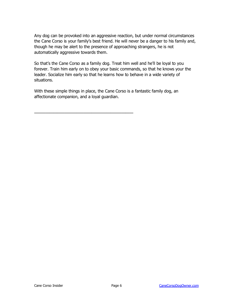Any dog can be provoked into an aggressive reaction, but under normal circumstances the Cane Corso is your family's best friend. He will never be a danger to his family and, though he may be alert to the presence of approaching strangers, he is not automatically aggressive towards them.

So that's the Cane Corso as a family dog. Treat him well and he'll be loyal to you forever. Train him early on to obey your basic commands, so that he knows your the leader. Socialize him early so that he learns how to behave in a wide variety of situations.

With these simple things in place, the Cane Corso is a fantastic family dog, an affectionate companion, and a loyal guardian.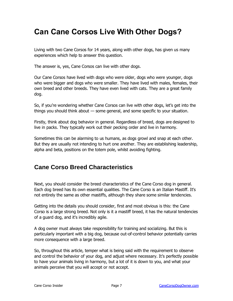## <span id="page-7-0"></span>**Can Cane Corsos Live With Other Dogs?**

Living with two Cane Corsos for 14 years, along with other dogs, has given us many experiences which help to answer this question.

The answer is, yes, Cane Corsos can live with other dogs.

Our Cane Corsos have lived with dogs who were older, dogs who were younger, dogs who were bigger and dogs who were smaller. They have lived with males, females, their own breed and other breeds. They have even lived with cats. They are a great family dog.

So, if you're wondering whether Cane Corsos can live with other dogs, let's get into the things you should think about — some general, and some specific to your situation.

Firstly, think about dog behavior in general. Regardless of breed, dogs are designed to live in packs. They typically work out their pecking order and live in harmony.

Sometimes this can be alarming to us humans, as dogs growl and snap at each other. But they are usually not intending to hurt one another. They are establishing leadership, alpha and beta, positions on the totem pole, whilst avoiding fighting.

#### <span id="page-7-1"></span>**Cane Corso Breed Characteristics**

Next, you should consider the breed characteristics of the Cane Corso dog in general. Each dog breed has its own essential qualities. The Cane Corso is an Italian Mastiff. It's not entirely the same as other mastiffs, although they share some similar tendencies.

Getting into the details you should consider, first and most obvious is this: the Cane Corso is a large strong breed. Not only is it a mastiff breed, it has the natural tendencies of a guard dog, and it's incredibly agile.

A dog owner must always take responsibility for training and socializing. But this is particularly important with a big dog, because out-of-control behavior potentially carries more consequence with a large breed.

So, throughout this article, temper what is being said with the requirement to observe and control the behavior of your dog, and adjust where necessary. It's perfectly possible to have your animals living in harmony, but a lot of it is down to you, and what your animals perceive that you will accept or not accept.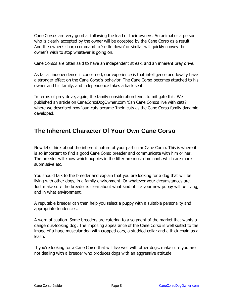Cane Corsos are very good at following the lead of their owners. An animal or a person who is clearly accepted by the owner will be accepted by the Cane Corso as a result. And the owner's sharp command to 'settle down' or similar will quickly convey the owner's wish to stop whatever is going on.

Cane Corsos are often said to have an independent streak, and an inherent prey drive.

As far as independence is concerned, our experience is that intelligence and loyalty have a stronger effect on the Cane Corso's behavior. The Cane Corso becomes attached to his owner and his family, and independence takes a back seat.

In terms of prey drive, again, the family consideration tends to mitigate this. We published an article on CaneCorsoDogOwner.com 'Can Cane Corsos live with cats?' where we described how 'our' cats became 'their' cats as the Cane Corso family dynamic developed.

#### <span id="page-8-0"></span>**The Inherent Character Of Your Own Cane Corso**

Now let's think about the inherent nature of your particular Cane Corso. This is where it is so important to find a good Cane Corso breeder and communicate with him or her. The breeder will know which puppies in the litter are most dominant, which are more submissive etc.

You should talk to the breeder and explain that you are looking for a dog that will be living with other dogs, in a family environment. Or whatever your circumstances are. Just make sure the breeder is clear about what kind of life your new puppy will be living, and in what environment.

A reputable breeder can then help you select a puppy with a suitable personality and appropriate tendencies.

A word of caution. Some breeders are catering to a segment of the market that wants a dangerous-looking dog. The imposing appearance of the Cane Corso is well suited to the image of a huge muscular dog with cropped ears, a studded collar and a thick chain as a leash.

If you're looking for a Cane Corso that will live well with other dogs, make sure you are not dealing with a breeder who produces dogs with an aggressive attitude.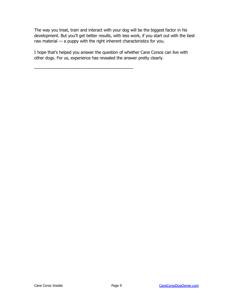The way you treat, train and interact with your dog will be the biggest factor in his development. But you'll get better results, with less work, if you start out with the best raw material — a puppy with the right inherent characteristics for you.

I hope that's helped you answer the question of whether Cane Corsos can live with other dogs. For us, experience has revealed the answer pretty clearly.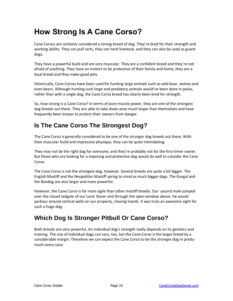## <span id="page-10-0"></span>**How Strong Is A Cane Corso?**

Cane Corsos are certainly considered a strong breed of dog. They're bred for their strength and working ability. They can pull carts, they can herd livestock, and they can also be used as guard dogs.

They have a powerful build and are very muscular. They are a confident breed and they're not afraid of anything. They have an instinct to be protective of their family and home, they are a loyal breed and they make good pets.

Historically, Cane Corsos have been used for hunting large animals such as wild boar, wolves and even bears. Although hunting such large and predatory animals would've been done in packs, rather than with a single dog, the Cane Corso breed has clearly been bred for strength.

So, how strong is a Cane Corso? In terms of pure muscle power, they are one of the strongest dog breeds out there. They are able to take down prey much larger than themselves and have frequently been known to protect their owners from danger.

#### <span id="page-10-1"></span>**Is The Cane Corso The Strongest Dog?**

The Cane Corso is generally considered to be one of the stronger dog breeds out there. With their muscular build and impressive physique, they can be quite intimidating.

They may not be the right dog for everyone, and they're probably not for the first-timer owner. But those who are looking for a imposing and protective dog would do well to consider the Cane Corso.

The Cane Corso is not the strongest dog, however. Several breeds are quite a bit bigger. The English Mastiff and the Neopolitan Mastiff spring to mind as much bigger dogs. The Kangal and the Bandog are also larger and more powerful.

However, the Cane Corso is far more agile than other mastiff breeds. Our -pound male jumped over the closed tailgate of our Land Rover and through the open window above. He would parkour around vertical walls on our property, chasing lizards. It was truly an awesome sight for such a huge dog.

#### <span id="page-10-2"></span>**Which Dog Is Stronger Pitbull Or Cane Corso?**

Both breeds are very powerful. An individual dog's strength really depends on its genetics and training. The size of individual dogs can vary, too, but the Cane Corso is the larger breed by a considerable margin. Therefore we can expect the Cane Corso to be the stronger dog in pretty much every case.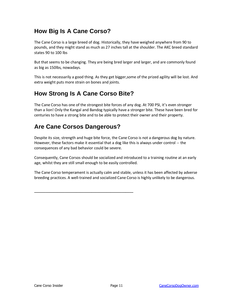#### <span id="page-11-0"></span>**How Big Is A Cane Corso?**

The Cane Corso is a large breed of dog. Historically, they have weighed anywhere from 90 to pounds, and they might stand as much as 27 inches tall at the shoulder. The AKC breed standard states 90 to 100 lbs

But that seems to be changing. They are being bred larger and larger, and are commonly found as big as 150lbs, nowadays.

This is not necessarily a good thing. As they get bigger,some of the prized agility will be lost. And extra weight puts more strain on bones and joints.

#### <span id="page-11-1"></span>**How Strong Is A Cane Corso Bite?**

The Cane Corso has one of the strongest bite forces of any dog. At 700 PSI, it's even stronger than a lion! Only the Kangal and Bandog typically have a stronger bite. These have been bred for centuries to have a strong bite and to be able to protect their owner and their property.

#### <span id="page-11-2"></span>**Are Cane Corsos Dangerous?**

——————————————————————————

Despite its size, strength and huge bite force, the Cane Corso is not a dangerous dog by nature. However, these factors make it essential that a dog like this is always under control -- the consequences of any bad behavior could be severe.

Consequently, Cane Corsos should be socialized and introduced to a training routine at an early age, whilst they are still small enough to be easily controlled.

The Cane Corso temperament is actually calm and stable, unless it has been affected by adverse breeding practices. A well-trained and socialized Cane Corso is highly unlikely to be dangerous.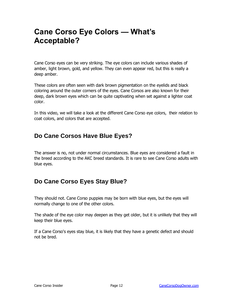## <span id="page-12-0"></span>**Cane Corso Eye Colors — What's Acceptable?**

Cane Corso eyes can be very striking. The eye colors can include various shades of amber, light brown, gold, and yellow. They can even appear red, but this is really a deep amber.

These colors are often seen with dark brown pigmentation on the eyelids and black coloring around the outer corners of the eyes. Cane Corsos are also known for their deep, dark brown eyes which can be quite captivating when set against a lighter coat color.

In this video, we will take a look at the different Cane Corso eye colors, their relation to coat colors, and colors that are accepted.

#### <span id="page-12-1"></span>**Do Cane Corsos Have Blue Eyes?**

The answer is no, not under normal circumstances. Blue eyes are considered a fault in the breed according to the AKC breed standards. It is rare to see Cane Corso adults with blue eyes.

#### <span id="page-12-2"></span>**Do Cane Corso Eyes Stay Blue?**

They should not. Cane Corso puppies may be born with blue eyes, but the eyes will normally change to one of the other colors.

The shade of the eye color may deepen as they get older, but it is unlikely that they will keep their blue eyes.

If a Cane Corso's eyes stay blue, it is likely that they have a genetic defect and should not be bred.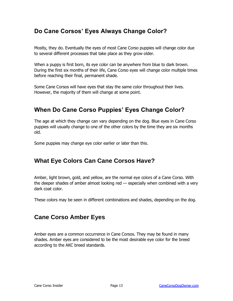#### <span id="page-13-0"></span>**Do Cane Corsos' Eyes Always Change Color?**

Mostly, they do. Eventually the eyes of most Cane Corso puppies will change color due to several different processes that take place as they grow older.

When a puppy is first born, its eye color can be anywhere from blue to dark brown. During the first six months of their life, Cane Corso eyes will change color multiple times before reaching their final, permanent shade.

Some Cane Corsos will have eyes that stay the same color throughout their lives. However, the majority of them will change at some point.

#### <span id="page-13-1"></span>**When Do Cane Corso Puppies' Eyes Change Color?**

The age at which they change can vary depending on the dog. Blue eyes in Cane Corso puppies will usually change to one of the other colors by the time they are six months old.

Some puppies may change eye color earlier or later than this.

#### <span id="page-13-2"></span>**What Eye Colors Can Cane Corsos Have?**

Amber, light brown, gold, and yellow, are the normal eye colors of a Cane Corso. With the deeper shades of amber almost looking red — especially when combined with a very dark coat color.

These colors may be seen in different combinations and shades, depending on the dog.

#### <span id="page-13-3"></span>**Cane Corso Amber Eyes**

Amber eyes are a common occurrence in Cane Corsos. They may be found in many shades. Amber eyes are considered to be the most desirable eye color for the breed according to the AKC breed standards.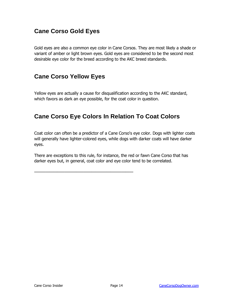#### <span id="page-14-0"></span>**Cane Corso Gold Eyes**

Gold eyes are also a common eye color in Cane Corsos. They are most likely a shade or variant of amber or light brown eyes. Gold eyes are considered to be the second most desirable eye color for the breed according to the AKC breed standards.

#### <span id="page-14-1"></span>**Cane Corso Yellow Eyes**

Yellow eyes are actually a cause for disqualification according to the AKC standard, which favors as dark an eye possible, for the coat color in question.

#### <span id="page-14-2"></span>**Cane Corso Eye Colors In Relation To Coat Colors**

Coat color can often be a predictor of a Cane Corso's eye color. Dogs with lighter coats will generally have lighter-colored eyes, while dogs with darker coats will have darker eyes.

There are exceptions to this rule, for instance, the red or fawn Cane Corso that has darker eyes but, in general, coat color and eye color tend to be correlated.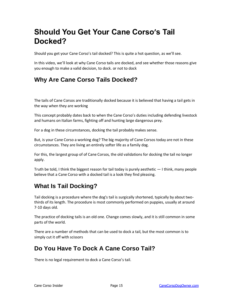## <span id="page-15-0"></span>**Should You Get Your Cane Corso's Tail Docked?**

Should you get your Cane Corso's tail docked? This is quite a hot question, as we'll see.

In this video, we'll look at why Cane Corso tails are docked, and see whether those reasons give you enough to make a valid decision, to dock. or not to dock

#### <span id="page-15-1"></span>**Why Are Cane Corso Tails Docked?**

The tails of Cane Corsos are traditionally docked because it is believed that having a tail gets in the way when they are working

This concept probably dates back to when the Cane Corso's duties including defending livestock and humans on Italian farms, fighting off and hunting large dangerous prey.

For a dog in these circumstances, docking the tail probably makes sense.

But, is your Cane Corso a working dog? The big majority of Cane Corsos today are not in these circumstances. They are living an entirely softer life as a family dog.

For this, the largest group of of Cane Corsos, the old validations for docking the tail no longer apply.

Truth be told, I think the biggest reason for tail today is purely aesthetic — I think, many people believe that a Cane Corso with a docked tail is a look they find pleasing.

#### <span id="page-15-2"></span>**What Is Tail Docking?**

Tail docking is a procedure where the dog's tail is surgically shortened, typically by about twothirds of its length. The procedure is most commonly performed on puppies, usually at around 7-10 days old.

The practice of docking tails is an old one. Change comes slowly, and it is still common in some parts of the world.

There are a number of methods that can be used to dock a tail, but the most common is to simply cut it off with scissors

#### <span id="page-15-3"></span>**Do You Have To Dock A Cane Corso Tail?**

There is no legal requirement to dock a Cane Corso's tail.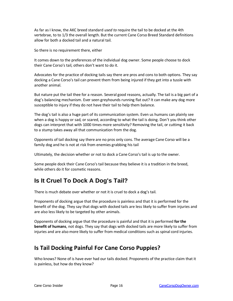As far as I know, the AKC breed standard *used to* require the tail to be docked at the 4th vertebrae, to to 1/3 the overall length. But the current Cane Corso Breed Standard definitions allow for both a docked tail and a natural tail.

So there is no requirement there, either

It comes down to the preferences of the individual dog owner. Some people choose to dock their Cane Corso's tail, others don't want to do it.

Advocates for the practice of docking tails say there are pros and cons to both options. They say docking a Cane Corso's tail can prevent them from being injured if they get into a tussle with another animal.

But nature put the tail thee for a reason. Several good reasons, actually. The tail is a big part of a dog's balancing mechanism. Ever seen greyhounds running flat out? It can make any dog more susceptible to injury if they do not have their tail to help them balance.

The dog's tail is also a huge part of its communication system. Even us humans can plainly see when a dog is happy or sad, or scared, according to what the tail is doing. Don't you think other dogs can interpret that with 1000 times more sensitivity? Removing the tail, or cuttimg it back to a stump takes away all that communication from the dog.

Opponents of tail docking say there are no pros only cons. The average Cane Corso will be a family dog and he is not at risk from enemies grabbing his tail

Ultimately, the decision whether or not to dock a Cane Corso's tail is up to the owner.

Some people dock their Cane Corso's tail because they believe it is a tradition in the breed, while others do it for cosmetic reasons.

#### <span id="page-16-0"></span>**Is It Cruel To Dock A Dog's Tail?**

There is much debate over whether or not it is cruel to dock a dog's tail.

Proponents of docking argue that the procedure is painless and that it is performed for the benefit of the dog. They say that dogs with docked tails are less likely to suffer from injuries and are also less likely to be targeted by other animals.

Opponents of docking argue that the procedure is painful and that it is performed **for the benefit of humans**, not dogs. They say that dogs with docked tails are more likely to suffer from injuries and are also more likely to suffer from medical conditions such as spinal cord injuries.

#### **Is Tail Docking Painful For Cane Corso Puppies?**

Who knows? None of is have ever had our tails docked. Proponents of the practice claim that it is painless, but how do they know?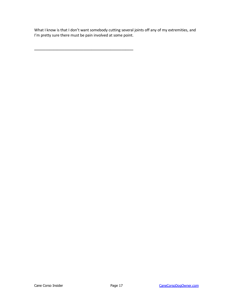What I know is that I don't want somebody cutting several joints off any of my extremities, and I'm pretty sure there must be pain involved at some point.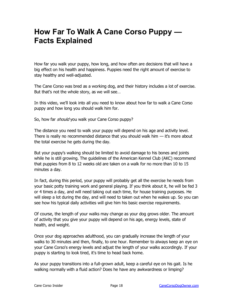## <span id="page-18-0"></span>**How Far To Walk A Cane Corso Puppy — Facts Explained**

How far you walk your puppy, how long, and how often are decisions that will have a big effect on his health and happiness. Puppies need the right amount of exercise to stay healthy and well-adjusted.

The Cane Corso was bred as a working dog, and their history includes a lot of exercise. But that's not the whole story, as we will see…

In this video, we'll look into all you need to know about how far to walk a Cane Corso puppy and how long you should walk him for.

So, how far *should* you walk your Cane Corso puppy?

The distance you need to walk your puppy will depend on his age and activity level. There is really no recommended distance that you should walk him  $-$  it's more about the total exercise he gets during the day.

But your puppy's walking should be limited to avoid damage to his bones and joints while he is still growing. The guidelines of the American Kennel Club (AKC) recommend that puppies from 8 to 12 weeks old are taken on a walk for no more than 10 to 15 minutes a day.

In fact, during this period, your puppy will probably get all the exercise he needs from your basic potty training work and general playing. If you think about it, he will be fed 3 or 4 times a day, and will need taking out each time, for house training purposes. He will sleep a lot during the day, and will need to taken out when he wakes up. So you can see how his typical daily activities will give him his basic exercise requirements.

Of course, the length of your walks may change as your dog grows older. The amount of activity that you give your puppy will depend on his age, energy levels, state of health, and weight.

Once your dog approaches adulthood, you can gradually increase the length of your walks to 30 minutes and then, finally, to one hour. Remember to always keep an eye on your Cane Corso's energy levels and adjust the length of your walks accordingly. If your puppy is starting to look tired, it's time to head back home.

As your puppy transitions into a full-grown adult, keep a careful eye on his gait. Is he walking normally with a fluid action? Does he have any awkwardness or limping?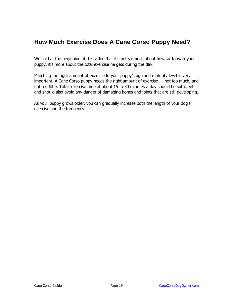#### <span id="page-19-0"></span>**How Much Exercise Does A Cane Corso Puppy Need?**

We said at the beginning of this video that it's not so much about how far to walk your puppy, it's more about the total exercise he gets during the day.

Matching the right amount of exercise to your puppy's age and maturity level is very important. A Cane Corso puppy needs the right amount of exercise — not too much, and not too little. Total exercise time of about 15 to 30 minutes a day should be sufficient and should also avoid any danger of damaging bones and joints that are still developing.

As your puppy grows older, you can gradually increase both the length of your dog's exercise and the frequency.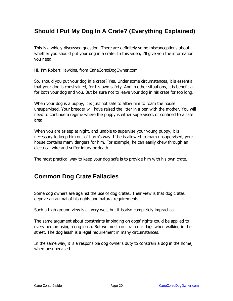#### <span id="page-20-0"></span>**Should I Put My Dog In A Crate? (Everything Explained)**

This is a widely discussed question. There are definitely some misconceptions about whether you should put your dog in a crate. In this video, I'll give you the information you need.

Hi. I'm Robert Hawkins, from CaneCorsoDogOwner.com

So, should you put your dog in a crate? Yes. Under some circumstances, it is essential that your dog is constrained, for his own safety. And in other situations, it is beneficial for both your dog and you. But be sure not to leave your dog in his crate for too long.

When your dog is a puppy, it is just not safe to allow him to roam the house unsupervised. Your breeder will have raised the litter in a pen with the mother. You will need to continue a regime where the puppy is either supervised, or confined to a safe area.

When you are asleep at night, and unable to supervise your young puppy, it is necessary to keep him out of harm's way. If he is allowed to roam unsupervised, your house contains many dangers for him. For example, he can easily chew through an electrical wire and suffer injury or death.

The most practical way to keep your dog safe is to provide him with his own crate.

#### <span id="page-20-1"></span>**Common Dog Crate Fallacies**

Some dog owners are against the use of dog crates. Their view is that dog crates deprive an animal of his rights and natural requirements.

Such a high ground view is all very well, but it is also completely impractical.

The same argument about constraints impinging on dogs' rights could be applied to every person using a dog leash. But we must constrain our dogs when walking in the street. The dog leash is a legal requirement in many circumstances.

In the same way, it is a responsible dog owner's duty to constrain a dog in the home, when unsupervised.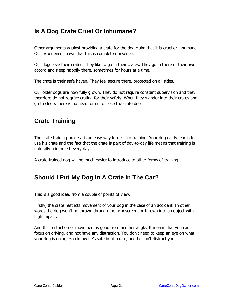#### <span id="page-21-0"></span>**Is A Dog Crate Cruel Or Inhumane?**

Other arguments against providing a crate for the dog claim that it is cruel or inhumane. Our experience shows that this is complete nonsense.

Our dogs love their crates. They like to go in their crates. They go in there of their own accord and sleep happily there, sometimes for hours at a time.

The crate is their safe haven. They feel secure there, protected on all sides.

Our older dogs are now fully grown. They do not require constant supervision and they therefore do not require crating for their safety. When they wander into their crates and go to sleep, there is no need for us to close the crate door.

#### <span id="page-21-1"></span>**Crate Training**

The crate training process is an easy way to get into training. Your dog easily learns to use his crate and the fact that the crate is part of day-to-day life means that training is naturally reinforced every day.

A crate-trained dog will be much easier to introduce to other forms of training.

#### <span id="page-21-2"></span>**Should I Put My Dog In A Crate In The Car?**

This is a good idea, from a couple of points of view.

Firstly, the crate restricts movement of your dog in the case of an accident. In other words the dog won't be thrown through the windscreen, or thrown into an object with high impact.

And this restriction of movement is good from another angle. It means that you can focus on driving, and not have any distraction. You don't need to keep an eye on what your dog is doing. You know he's safe in his crate, and he can't distract you.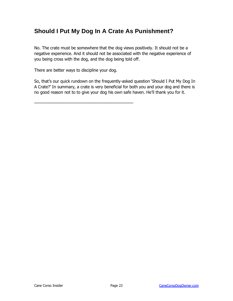#### <span id="page-22-0"></span>**Should I Put My Dog In A Crate As Punishment?**

No. The crate must be somewhere that the dog views positively. It should not be a negative experience. And it should not be associated with the negative experience of you being cross with the dog, and the dog being told off.

There are better ways to discipline your dog.

——————————————————————————

So, that's our quick rundown on the frequently-asked question 'Should I Put My Dog In A Crate?' In summary, a crate is very beneficial for both you and your dog and there is no good reason not to to give your dog his own safe haven. He'll thank you for it.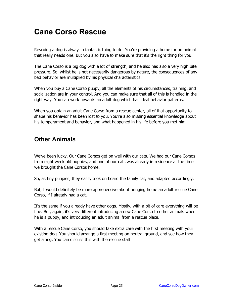## <span id="page-23-0"></span>**Cane Corso Rescue**

Rescuing a dog is always a fantastic thing to do. You're providing a home for an animal that really needs one. But you also have to make sure that it's the right thing for you.

The Cane Corso is a big dog with a lot of strength, and he also has also a very high bite pressure. So, whilst he is not necessarily dangerous by nature, the consequences of any bad behavior are multiplied by his physical characteristics.

When you buy a Cane Corso puppy, all the elements of his circumstances, training, and socialization are in your control. And you can make sure that all of this is handled in the right way. You can work towards an adult dog which has ideal behavior patterns.

When you obtain an adult Cane Corso from a rescue center, all of that opportunity to shape his behavior has been lost to you. You're also missing essential knowledge about his temperament and behavior, and what happened in his life before you met him.

#### <span id="page-23-1"></span>**Other Animals**

We've been lucky. Our Cane Corsos get on well with our cats. We had our Cane Corsos from eight week old puppies, and one of our cats was already in residence at the time we brought the Cane Corsos home.

So, as tiny puppies, they easily took on board the family cat, and adapted accordingly.

But, I would definitely be more apprehensive about bringing home an adult rescue Cane Corso, if I already had a cat.

It's the same if you already have other dogs. Mostly, with a bit of care everything will be fine. But, again, it's very different introducing a new Cane Corso to other animals when he is a puppy, and introducing an adult animal from a rescue place.

With a rescue Cane Corso, you should take extra care with the first meeting with your existing dog. You should arrange a first meeting on neutral ground, and see how they get along. You can discuss this with the rescue staff.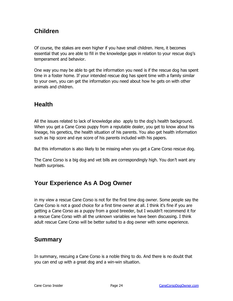#### <span id="page-24-0"></span>**Children**

Of course, the stakes are even higher if you have small children. Here, it becomes essential that you are able to fill in the knowledge gaps in relation to your rescue dog's temperament and behavior.

One way you may be able to get the information you need is if the rescue dog has spent time in a foster home. If your intended rescue dog has spent time with a family similar to your own, you can get the information you need about how he gets on with other animals and children.

#### <span id="page-24-1"></span>**Health**

All the issues related to lack of knowledge also apply to the dog's health background. When you get a Cane Corso puppy from a reputable dealer, you get to know about his lineage, his genetics, the health situation of his parents. You also get health information such as hip score and eye score of his parents included with his papers.

But this information is also likely to be missing when you get a Cane Corso rescue dog.

The Cane Corso is a big dog and vet bills are correspondingly high. You don't want any health surprises.

#### <span id="page-24-2"></span>**Your Experience As A Dog Owner**

in my view a rescue Cane Corso is not for the first time dog owner. Some people say the Cane Corso is not a good choice for a first time owner at all. I think it's fine if you are getting a Cane Corso as a puppy from a good breeder, but I wouldn't recommend it for a rescue Cane Corso with all the unknown variables we have been discussing. I think adult rescue Cane Corso will be better suited to a dog owner with some experience.

#### <span id="page-24-3"></span>**Summary**

In summary, rescuing a Cane Corso is a noble thing to do. And there is no doubt that you can end up with a great dog and a win-win situation.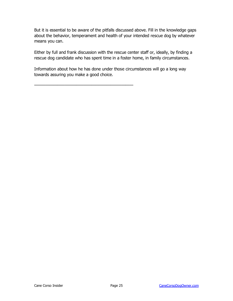But it is essential to be aware of the pitfalls discussed above. Fill in the knowledge gaps about the behavior, temperament and health of your intended rescue dog by whatever means you can.

Either by full and frank discussion with the rescue center staff or, ideally, by finding a rescue dog candidate who has spent time in a foster home, in family circumstances.

Information about how he has done under those circumstances will go a long way towards assuring you make a good choice.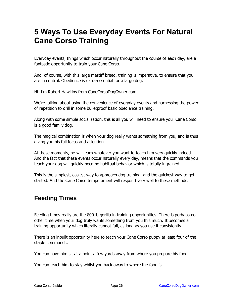## <span id="page-26-0"></span>**5 Ways To Use Everyday Events For Natural Cane Corso Training**

Everyday events, things which occur naturally throughout the course of each day, are a fantastic opportunity to train your Cane Corso.

And, of course, with this large mastiff breed, training is imperative, to ensure that you are in control. Obedience is extra-essential for a large dog.

Hi. I'm Robert Hawkins from CaneCorsoDogOwner.com

We're talking about using the convenience of everyday events and harnessing the power of repetition to drill in some bulletproof basic obedience training.

Along with some simple socialization, this is all you will need to ensure your Cane Corso is a good family dog.

The magical combination is when your dog really wants something from you, and is thus giving you his full focus and attention.

At these moments, he will learn whatever you want to teach him very quickly indeed. And the fact that these events occur naturally every day, means that the commands you teach your dog will quickly become habitual behavior which is totally ingrained.

This is the simplest, easiest way to approach dog training, and the quickest way to get started. And the Cane Corso temperament will respond very well to these methods.

#### <span id="page-26-1"></span>**Feeding Times**

Feeding times really are the 800 lb gorilla in training opportunities. There is perhaps no other time when your dog truly wants something from you this much. It becomes a training opportunity which literally cannot fail, as long as you use it consistently.

There is an inbuilt opportunity here to teach your Cane Corso puppy at least four of the staple commands.

You can have him sit at a point a few yards away from where you prepare his food.

You can teach him to stay whilst you back away to where the food is.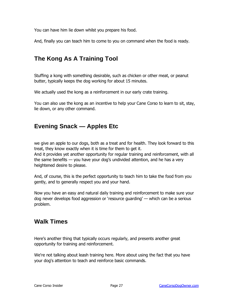You can have him lie down whilst you prepare his food.

And, finally you can teach him to come to you on command when the food is ready.

#### <span id="page-27-0"></span>**The Kong As A Training Tool**

Stuffing a kong with something desirable, such as chicken or other meat, or peanut butter, typically keeps the dog working for about 15 minutes.

We actually used the kong as a reinforcement in our early crate training.

You can also use the kong as an incentive to help your Cane Corso to learn to sit, stay, lie down, or any other command.

#### <span id="page-27-1"></span>**Evening Snack — Apples Etc**

we give an apple to our dogs, both as a treat and for health. They look forward to this treat, they know exactly when it is time for them to get it. And it provides yet another opportunity for regular training and reinforcement, with all the same benefits — you have your dog's undivided attention, and he has a very heightened desire to please.

And, of course, this is the perfect opportunity to teach him to take the food from you gently, and to generally respect you and your hand.

Now you have an easy and natural daily training and reinforcement to make sure your dog never develops food aggression or 'resource guarding' — which can be a serious problem.

#### <span id="page-27-2"></span>**Walk Times**

Here's another thing that typically occurs regularly, and presents another great opportunity for training and reinforcement.

We're not talking about leash training here. More about using the fact that you have your dog's attention to teach and reinforce basic commands.